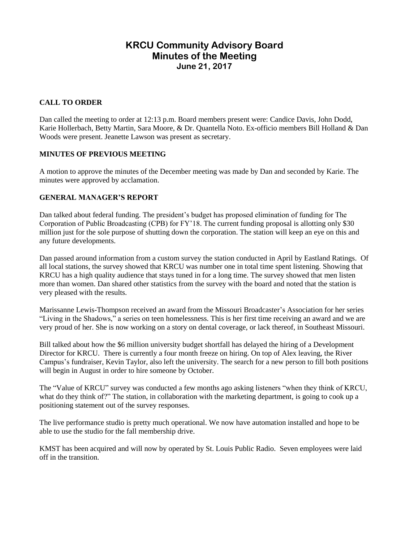# **KRCU Community Advisory Board Minutes of the Meeting June 21, 2017**

# **CALL TO ORDER**

Dan called the meeting to order at 12:13 p.m. Board members present were: Candice Davis, John Dodd, Karie Hollerbach, Betty Martin, Sara Moore, & Dr. Quantella Noto. Ex-officio members Bill Holland & Dan Woods were present. Jeanette Lawson was present as secretary.

### **MINUTES OF PREVIOUS MEETING**

A motion to approve the minutes of the December meeting was made by Dan and seconded by Karie. The minutes were approved by acclamation.

### **GENERAL MANAGER'S REPORT**

Dan talked about federal funding. The president's budget has proposed elimination of funding for The Corporation of Public Broadcasting (CPB) for FY'18. The current funding proposal is allotting only \$30 million just for the sole purpose of shutting down the corporation. The station will keep an eye on this and any future developments.

Dan passed around information from a custom survey the station conducted in April by Eastland Ratings. Of all local stations, the survey showed that KRCU was number one in total time spent listening. Showing that KRCU has a high quality audience that stays tuned in for a long time. The survey showed that men listen more than women. Dan shared other statistics from the survey with the board and noted that the station is very pleased with the results.

Marissanne Lewis-Thompson received an award from the Missouri Broadcaster's Association for her series "Living in the Shadows," a series on teen homelessness. This is her first time receiving an award and we are very proud of her. She is now working on a story on dental coverage, or lack thereof, in Southeast Missouri.

Bill talked about how the \$6 million university budget shortfall has delayed the hiring of a Development Director for KRCU. There is currently a four month freeze on hiring. On top of Alex leaving, the River Campus's fundraiser, Kevin Taylor, also left the university. The search for a new person to fill both positions will begin in August in order to hire someone by October.

The "Value of KRCU" survey was conducted a few months ago asking listeners "when they think of KRCU, what do they think of?" The station, in collaboration with the marketing department, is going to cook up a positioning statement out of the survey responses.

The live performance studio is pretty much operational. We now have automation installed and hope to be able to use the studio for the fall membership drive.

KMST has been acquired and will now by operated by St. Louis Public Radio. Seven employees were laid off in the transition.